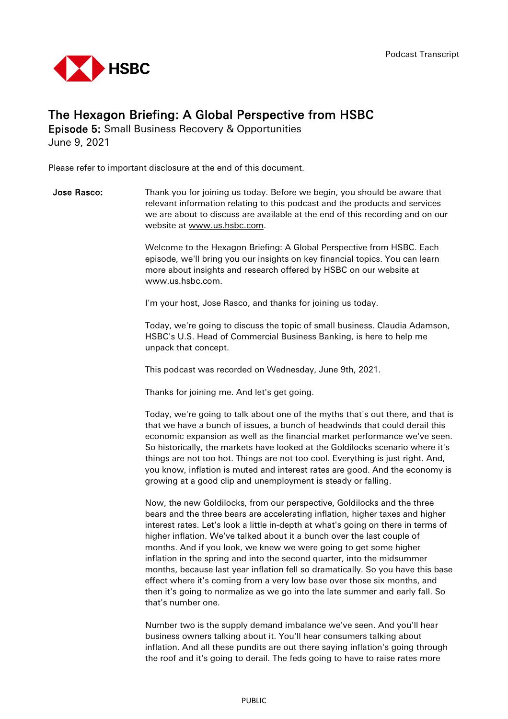

## The Hexagon Briefing: A Global Perspective from HSBC

Episode 5: Small Business Recovery & Opportunities June 9, 2021

Please refer to important disclosure at the end of this document.

**Jose Rasco:** Thank you for joining us today. Before we begin, you should be aware that relevant information relating to this podcast and the products and services we are about to discuss are available at the end of this recording and on our website at [www.us.hsbc.com.](http://www.us.hsbc.com/)

> Welcome to the Hexagon Briefing: A Global Perspective from HSBC. Each episode, we'll bring you our insights on key financial topics. You can learn more about insights and research offered by HSBC on our website at [www.us.hsbc.com.](http://www.us.hsbc.com/)

I'm your host, Jose Rasco, and thanks for joining us today.

Today, we're going to discuss the topic of small business. Claudia Adamson, HSBC's U.S. Head of Commercial Business Banking, is here to help me unpack that concept.

This podcast was recorded on Wednesday, June 9th, 2021.

Thanks for joining me. And let's get going.

Today, we're going to talk about one of the myths that's out there, and that is that we have a bunch of issues, a bunch of headwinds that could derail this economic expansion as well as the financial market performance we've seen. So historically, the markets have looked at the Goldilocks scenario where it's things are not too hot. Things are not too cool. Everything is just right. And, you know, inflation is muted and interest rates are good. And the economy is growing at a good clip and unemployment is steady or falling.

Now, the new Goldilocks, from our perspective, Goldilocks and the three bears and the three bears are accelerating inflation, higher taxes and higher interest rates. Let's look a little in-depth at what's going on there in terms of higher inflation. We've talked about it a bunch over the last couple of months. And if you look, we knew we were going to get some higher inflation in the spring and into the second quarter, into the midsummer months, because last year inflation fell so dramatically. So you have this base effect where it's coming from a very low base over those six months, and then it's going to normalize as we go into the late summer and early fall. So that's number one.

Number two is the supply demand imbalance we've seen. And you'll hear business owners talking about it. You'll hear consumers talking about inflation. And all these pundits are out there saying inflation's going through the roof and it's going to derail. The feds going to have to raise rates more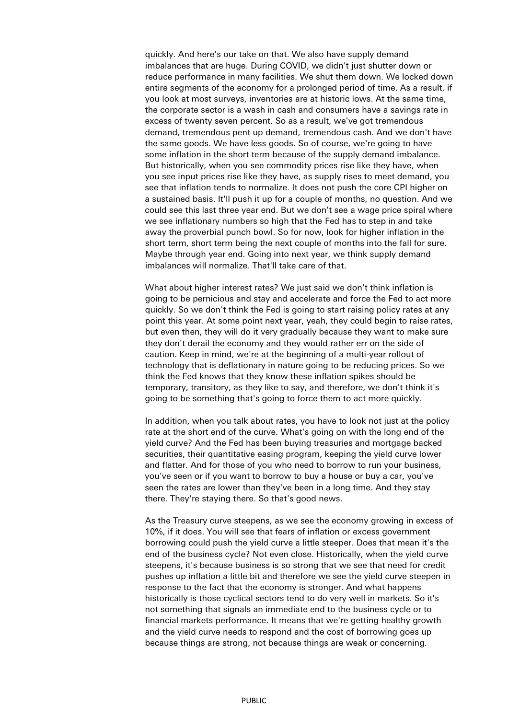quickly. And here's our take on that. We also have supply demand imbalances that are huge. During COVID, we didn't just shutter down or reduce performance in many facilities. We shut them down. We locked down entire segments of the economy for a prolonged period of time. As a result, if you look at most surveys, inventories are at historic lows. At the same time, the corporate sector is a wash in cash and consumers have a savings rate in excess of twenty seven percent. So as a result, we've got tremendous demand, tremendous pent up demand, tremendous cash. And we don't have the same goods. We have less goods. So of course, we're going to have some inflation in the short term because of the supply demand imbalance. But historically, when you see commodity prices rise like they have, when you see input prices rise like they have, as supply rises to meet demand, you see that inflation tends to normalize. It does not push the core CPI higher on a sustained basis. It'll push it up for a couple of months, no question. And we could see this last three year end. But we don't see a wage price spiral where we see inflationary numbers so high that the Fed has to step in and take away the proverbial punch bowl. So for now, look for higher inflation in the short term, short term being the next couple of months into the fall for sure. Maybe through year end. Going into next year, we think supply demand imbalances will normalize. That'll take care of that.

What about higher interest rates? We just said we don't think inflation is going to be pernicious and stay and accelerate and force the Fed to act more quickly. So we don't think the Fed is going to start raising policy rates at any point this year. At some point next year, yeah, they could begin to raise rates, but even then, they will do it very gradually because they want to make sure they don't derail the economy and they would rather err on the side of caution. Keep in mind, we're at the beginning of a multi-year rollout of technology that is deflationary in nature going to be reducing prices. So we think the Fed knows that they know these inflation spikes should be temporary, transitory, as they like to say, and therefore, we don't think it's going to be something that's going to force them to act more quickly.

In addition, when you talk about rates, you have to look not just at the policy rate at the short end of the curve. What's going on with the long end of the yield curve? And the Fed has been buying treasuries and mortgage backed securities, their quantitative easing program, keeping the yield curve lower and flatter. And for those of you who need to borrow to run your business, you've seen or if you want to borrow to buy a house or buy a car, you've seen the rates are lower than they've been in a long time. And they stay there. They're staying there. So that's good news.

As the Treasury curve steepens, as we see the economy growing in excess of 10%, if it does. You will see that fears of inflation or excess government borrowing could push the yield curve a little steeper. Does that mean it's the end of the business cycle? Not even close. Historically, when the yield curve steepens, it's because business is so strong that we see that need for credit pushes up inflation a little bit and therefore we see the yield curve steepen in response to the fact that the economy is stronger. And what happens historically is those cyclical sectors tend to do very well in markets. So it's not something that signals an immediate end to the business cycle or to financial markets performance. It means that we're getting healthy growth and the yield curve needs to respond and the cost of borrowing goes up because things are strong, not because things are weak or concerning.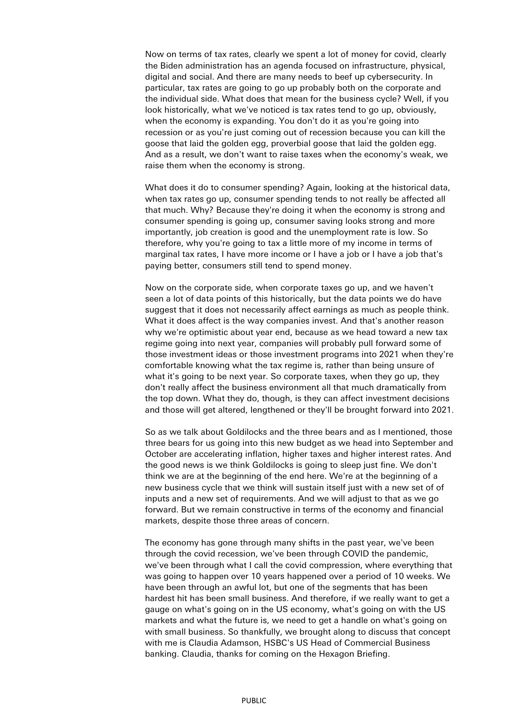Now on terms of tax rates, clearly we spent a lot of money for covid, clearly the Biden administration has an agenda focused on infrastructure, physical, digital and social. And there are many needs to beef up cybersecurity. In particular, tax rates are going to go up probably both on the corporate and the individual side. What does that mean for the business cycle? Well, if you look historically, what we've noticed is tax rates tend to go up, obviously, when the economy is expanding. You don't do it as you're going into recession or as you're just coming out of recession because you can kill the goose that laid the golden egg, proverbial goose that laid the golden egg. And as a result, we don't want to raise taxes when the economy's weak, we raise them when the economy is strong.

What does it do to consumer spending? Again, looking at the historical data, when tax rates go up, consumer spending tends to not really be affected all that much. Why? Because they're doing it when the economy is strong and consumer spending is going up, consumer saving looks strong and more importantly, job creation is good and the unemployment rate is low. So therefore, why you're going to tax a little more of my income in terms of marginal tax rates, I have more income or I have a job or I have a job that's paying better, consumers still tend to spend money.

Now on the corporate side, when corporate taxes go up, and we haven't seen a lot of data points of this historically, but the data points we do have suggest that it does not necessarily affect earnings as much as people think. What it does affect is the way companies invest. And that's another reason why we're optimistic about year end, because as we head toward a new tax regime going into next year, companies will probably pull forward some of those investment ideas or those investment programs into 2021 when they're comfortable knowing what the tax regime is, rather than being unsure of what it's going to be next year. So corporate taxes, when they go up, they don't really affect the business environment all that much dramatically from the top down. What they do, though, is they can affect investment decisions and those will get altered, lengthened or they'll be brought forward into 2021.

So as we talk about Goldilocks and the three bears and as I mentioned, those three bears for us going into this new budget as we head into September and October are accelerating inflation, higher taxes and higher interest rates. And the good news is we think Goldilocks is going to sleep just fine. We don't think we are at the beginning of the end here. We're at the beginning of a new business cycle that we think will sustain itself just with a new set of of inputs and a new set of requirements. And we will adjust to that as we go forward. But we remain constructive in terms of the economy and financial markets, despite those three areas of concern.

The economy has gone through many shifts in the past year, we've been through the covid recession, we've been through COVID the pandemic, we've been through what I call the covid compression, where everything that was going to happen over 10 years happened over a period of 10 weeks. We have been through an awful lot, but one of the segments that has been hardest hit has been small business. And therefore, if we really want to get a gauge on what's going on in the US economy, what's going on with the US markets and what the future is, we need to get a handle on what's going on with small business. So thankfully, we brought along to discuss that concept with me is Claudia Adamson, HSBC's US Head of Commercial Business banking. Claudia, thanks for coming on the Hexagon Briefing.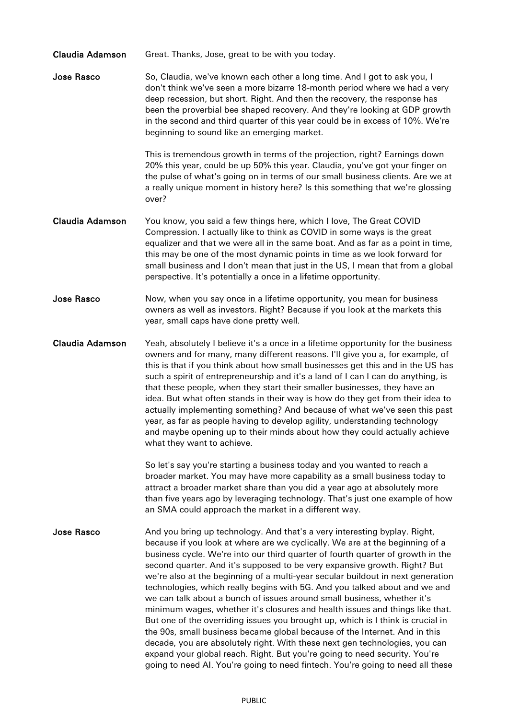| <b>Claudia Adamson</b> | Great. Thanks, Jose, great to be with you today.                                                                                                                                                                                                                                                                                                                                                                                                                                                                                                                                                                                                                                                                                                                                                                                                                                                                                                                                                                                                                      |
|------------------------|-----------------------------------------------------------------------------------------------------------------------------------------------------------------------------------------------------------------------------------------------------------------------------------------------------------------------------------------------------------------------------------------------------------------------------------------------------------------------------------------------------------------------------------------------------------------------------------------------------------------------------------------------------------------------------------------------------------------------------------------------------------------------------------------------------------------------------------------------------------------------------------------------------------------------------------------------------------------------------------------------------------------------------------------------------------------------|
| Jose Rasco             | So, Claudia, we've known each other a long time. And I got to ask you, I<br>don't think we've seen a more bizarre 18-month period where we had a very<br>deep recession, but short. Right. And then the recovery, the response has<br>been the proverbial bee shaped recovery. And they're looking at GDP growth<br>in the second and third quarter of this year could be in excess of 10%. We're<br>beginning to sound like an emerging market.                                                                                                                                                                                                                                                                                                                                                                                                                                                                                                                                                                                                                      |
|                        | This is tremendous growth in terms of the projection, right? Earnings down<br>20% this year, could be up 50% this year. Claudia, you've got your finger on<br>the pulse of what's going on in terms of our small business clients. Are we at<br>a really unique moment in history here? Is this something that we're glossing<br>over?                                                                                                                                                                                                                                                                                                                                                                                                                                                                                                                                                                                                                                                                                                                                |
| <b>Claudia Adamson</b> | You know, you said a few things here, which I love, The Great COVID<br>Compression. I actually like to think as COVID in some ways is the great<br>equalizer and that we were all in the same boat. And as far as a point in time,<br>this may be one of the most dynamic points in time as we look forward for<br>small business and I don't mean that just in the US, I mean that from a global<br>perspective. It's potentially a once in a lifetime opportunity.                                                                                                                                                                                                                                                                                                                                                                                                                                                                                                                                                                                                  |
| <b>Jose Rasco</b>      | Now, when you say once in a lifetime opportunity, you mean for business<br>owners as well as investors. Right? Because if you look at the markets this<br>year, small caps have done pretty well.                                                                                                                                                                                                                                                                                                                                                                                                                                                                                                                                                                                                                                                                                                                                                                                                                                                                     |
| <b>Claudia Adamson</b> | Yeah, absolutely I believe it's a once in a lifetime opportunity for the business<br>owners and for many, many different reasons. I'll give you a, for example, of<br>this is that if you think about how small businesses get this and in the US has<br>such a spirit of entrepreneurship and it's a land of I can I can do anything, is<br>that these people, when they start their smaller businesses, they have an<br>idea. But what often stands in their way is how do they get from their idea to<br>actually implementing something? And because of what we've seen this past<br>year, as far as people having to develop agility, understanding technology<br>and maybe opening up to their minds about how they could actually achieve<br>what they want to achieve.                                                                                                                                                                                                                                                                                        |
|                        | So let's say you're starting a business today and you wanted to reach a<br>broader market. You may have more capability as a small business today to<br>attract a broader market share than you did a year ago at absolutely more<br>than five years ago by leveraging technology. That's just one example of how<br>an SMA could approach the market in a different way.                                                                                                                                                                                                                                                                                                                                                                                                                                                                                                                                                                                                                                                                                             |
| <b>Jose Rasco</b>      | And you bring up technology. And that's a very interesting byplay. Right,<br>because if you look at where are we cyclically. We are at the beginning of a<br>business cycle. We're into our third quarter of fourth quarter of growth in the<br>second quarter. And it's supposed to be very expansive growth. Right? But<br>we're also at the beginning of a multi-year secular buildout in next generation<br>technologies, which really begins with 5G. And you talked about and we and<br>we can talk about a bunch of issues around small business, whether it's<br>minimum wages, whether it's closures and health issues and things like that.<br>But one of the overriding issues you brought up, which is I think is crucial in<br>the 90s, small business became global because of the Internet. And in this<br>decade, you are absolutely right. With these next gen technologies, you can<br>expand your global reach. Right. But you're going to need security. You're<br>going to need AI. You're going to need fintech. You're going to need all these |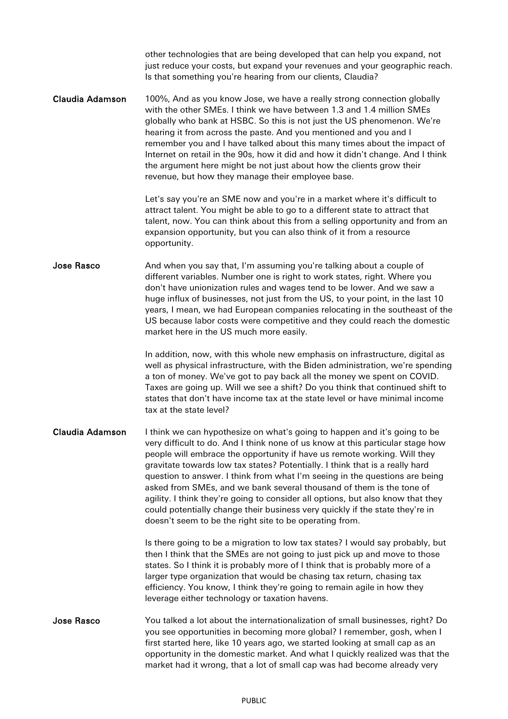other technologies that are being developed that can help you expand, not just reduce your costs, but expand your revenues and your geographic reach. Is that something you're hearing from our clients, Claudia?

Claudia Adamson 100%, And as you know Jose, we have a really strong connection globally with the other SMEs. I think we have between 1.3 and 1.4 million SMEs globally who bank at HSBC. So this is not just the US phenomenon. We're hearing it from across the paste. And you mentioned and you and I remember you and I have talked about this many times about the impact of Internet on retail in the 90s, how it did and how it didn't change. And I think the argument here might be not just about how the clients grow their revenue, but how they manage their employee base.

> Let's say you're an SME now and you're in a market where it's difficult to attract talent. You might be able to go to a different state to attract that talent, now. You can think about this from a selling opportunity and from an expansion opportunity, but you can also think of it from a resource opportunity.

**Jose Rasco** And when you say that, I'm assuming you're talking about a couple of different variables. Number one is right to work states, right. Where you don't have unionization rules and wages tend to be lower. And we saw a huge influx of businesses, not just from the US, to your point, in the last 10 years, I mean, we had European companies relocating in the southeast of the US because labor costs were competitive and they could reach the domestic market here in the US much more easily.

> In addition, now, with this whole new emphasis on infrastructure, digital as well as physical infrastructure, with the Biden administration, we're spending a ton of money. We've got to pay back all the money we spent on COVID. Taxes are going up. Will we see a shift? Do you think that continued shift to states that don't have income tax at the state level or have minimal income tax at the state level?

Claudia Adamson I think we can hypothesize on what's going to happen and it's going to be very difficult to do. And I think none of us know at this particular stage how people will embrace the opportunity if have us remote working. Will they gravitate towards low tax states? Potentially. I think that is a really hard question to answer. I think from what I'm seeing in the questions are being asked from SMEs, and we bank several thousand of them is the tone of agility. I think they're going to consider all options, but also know that they could potentially change their business very quickly if the state they're in doesn't seem to be the right site to be operating from.

> Is there going to be a migration to low tax states? I would say probably, but then I think that the SMEs are not going to just pick up and move to those states. So I think it is probably more of I think that is probably more of a larger type organization that would be chasing tax return, chasing tax efficiency. You know, I think they're going to remain agile in how they leverage either technology or taxation havens.

Jose Rasco You talked a lot about the internationalization of small businesses, right? Do you see opportunities in becoming more global? I remember, gosh, when I first started here, like 10 years ago, we started looking at small cap as an opportunity in the domestic market. And what I quickly realized was that the market had it wrong, that a lot of small cap was had become already very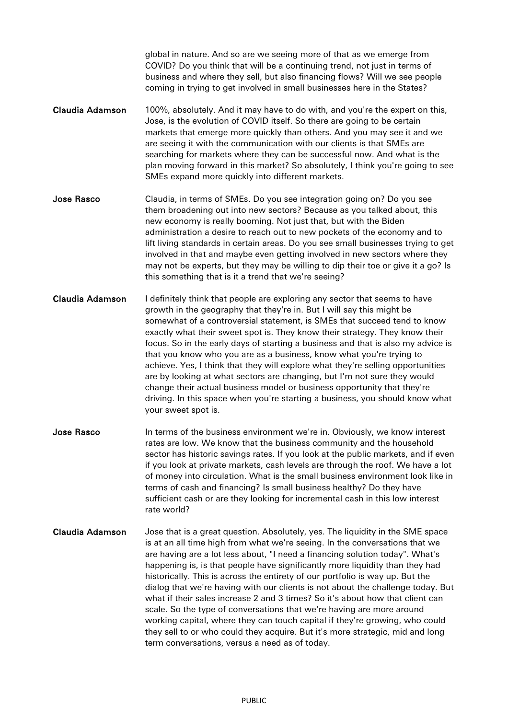global in nature. And so are we seeing more of that as we emerge from COVID? Do you think that will be a continuing trend, not just in terms of business and where they sell, but also financing flows? Will we see people coming in trying to get involved in small businesses here in the States?

- Claudia Adamson 100%, absolutely. And it may have to do with, and you're the expert on this, Jose, is the evolution of COVID itself. So there are going to be certain markets that emerge more quickly than others. And you may see it and we are seeing it with the communication with our clients is that SMEs are searching for markets where they can be successful now. And what is the plan moving forward in this market? So absolutely, I think you're going to see SMEs expand more quickly into different markets.
- Jose Rasco Claudia, in terms of SMEs. Do you see integration going on? Do you see them broadening out into new sectors? Because as you talked about, this new economy is really booming. Not just that, but with the Biden administration a desire to reach out to new pockets of the economy and to lift living standards in certain areas. Do you see small businesses trying to get involved in that and maybe even getting involved in new sectors where they may not be experts, but they may be willing to dip their toe or give it a go? Is this something that is it a trend that we're seeing?
- Claudia Adamson I definitely think that people are exploring any sector that seems to have growth in the geography that they're in. But I will say this might be somewhat of a controversial statement, is SMEs that succeed tend to know exactly what their sweet spot is. They know their strategy. They know their focus. So in the early days of starting a business and that is also my advice is that you know who you are as a business, know what you're trying to achieve. Yes, I think that they will explore what they're selling opportunities are by looking at what sectors are changing, but I'm not sure they would change their actual business model or business opportunity that they're driving. In this space when you're starting a business, you should know what your sweet spot is.
- Jose Rasco **In terms of the business environment we're in. Obviously, we know interest** rates are low. We know that the business community and the household sector has historic savings rates. If you look at the public markets, and if even if you look at private markets, cash levels are through the roof. We have a lot of money into circulation. What is the small business environment look like in terms of cash and financing? Is small business healthy? Do they have sufficient cash or are they looking for incremental cash in this low interest rate world?
- Claudia Adamson Jose that is a great question. Absolutely, yes. The liquidity in the SME space is at an all time high from what we're seeing. In the conversations that we are having are a lot less about, "I need a financing solution today". What's happening is, is that people have significantly more liquidity than they had historically. This is across the entirety of our portfolio is way up. But the dialog that we're having with our clients is not about the challenge today. But what if their sales increase 2 and 3 times? So it's about how that client can scale. So the type of conversations that we're having are more around working capital, where they can touch capital if they're growing, who could they sell to or who could they acquire. But it's more strategic, mid and long term conversations, versus a need as of today.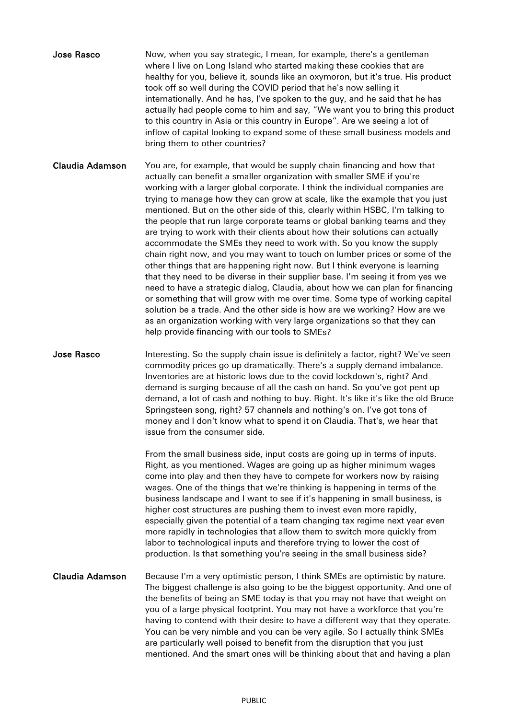| <b>Jose Rasco</b> | Now, when you say strategic, I mean, for example, there's a gentleman            |
|-------------------|----------------------------------------------------------------------------------|
|                   | where I live on Long Island who started making these cookies that are            |
|                   | healthy for you, believe it, sounds like an oxymoron, but it's true. His product |
|                   | took off so well during the COVID period that he's now selling it                |
|                   | internationally. And he has, I've spoken to the guy, and he said that he has     |
|                   | actually had people come to him and say, "We want you to bring this product      |
|                   | to this country in Asia or this country in Europe". Are we seeing a lot of       |
|                   | inflow of capital looking to expand some of these small business models and      |
|                   | bring them to other countries?                                                   |

Claudia Adamson You are, for example, that would be supply chain financing and how that actually can benefit a smaller organization with smaller SME if you're working with a larger global corporate. I think the individual companies are trying to manage how they can grow at scale, like the example that you just mentioned. But on the other side of this, clearly within HSBC, I'm talking to the people that run large corporate teams or global banking teams and they are trying to work with their clients about how their solutions can actually accommodate the SMEs they need to work with. So you know the supply chain right now, and you may want to touch on lumber prices or some of the other things that are happening right now. But I think everyone is learning that they need to be diverse in their supplier base. I'm seeing it from yes we need to have a strategic dialog, Claudia, about how we can plan for financing or something that will grow with me over time. Some type of working capital solution be a trade. And the other side is how are we working? How are we as an organization working with very large organizations so that they can help provide financing with our tools to SMEs?

**Jose Rasco** Interesting. So the supply chain issue is definitely a factor, right? We've seen commodity prices go up dramatically. There's a supply demand imbalance. Inventories are at historic lows due to the covid lockdown's, right? And demand is surging because of all the cash on hand. So you've got pent up demand, a lot of cash and nothing to buy. Right. It's like it's like the old Bruce Springsteen song, right? 57 channels and nothing's on. I've got tons of money and I don't know what to spend it on Claudia. That's, we hear that issue from the consumer side.

> From the small business side, input costs are going up in terms of inputs. Right, as you mentioned. Wages are going up as higher minimum wages come into play and then they have to compete for workers now by raising wages. One of the things that we're thinking is happening in terms of the business landscape and I want to see if it's happening in small business, is higher cost structures are pushing them to invest even more rapidly, especially given the potential of a team changing tax regime next year even more rapidly in technologies that allow them to switch more quickly from labor to technological inputs and therefore trying to lower the cost of production. Is that something you're seeing in the small business side?

Claudia Adamson Because I'm a very optimistic person, I think SMEs are optimistic by nature. The biggest challenge is also going to be the biggest opportunity. And one of the benefits of being an SME today is that you may not have that weight on you of a large physical footprint. You may not have a workforce that you're having to contend with their desire to have a different way that they operate. You can be very nimble and you can be very agile. So I actually think SMEs are particularly well poised to benefit from the disruption that you just mentioned. And the smart ones will be thinking about that and having a plan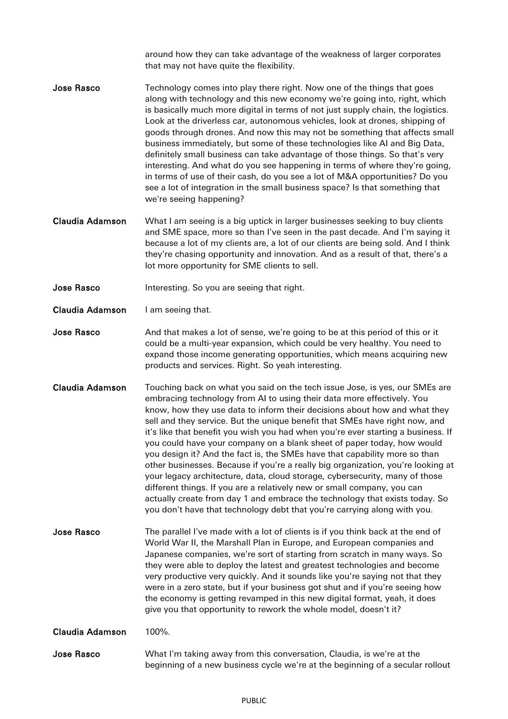around how they can take advantage of the weakness of larger corporates that may not have quite the flexibility.

- **Jose Rasco** Technology comes into play there right. Now one of the things that goes along with technology and this new economy we're going into, right, which is basically much more digital in terms of not just supply chain, the logistics. Look at the driverless car, autonomous vehicles, look at drones, shipping of goods through drones. And now this may not be something that affects small business immediately, but some of these technologies like AI and Big Data, definitely small business can take advantage of those things. So that's very interesting. And what do you see happening in terms of where they're going, in terms of use of their cash, do you see a lot of M&A opportunities? Do you see a lot of integration in the small business space? Is that something that we're seeing happening?
- Claudia Adamson What I am seeing is a big uptick in larger businesses seeking to buy clients and SME space, more so than I've seen in the past decade. And I'm saying it because a lot of my clients are, a lot of our clients are being sold. And I think they're chasing opportunity and innovation. And as a result of that, there's a lot more opportunity for SME clients to sell.
- **Jose Rasco** Interesting. So you are seeing that right.
- Claudia Adamson I am seeing that.
- Jose Rasco And that makes a lot of sense, we're going to be at this period of this or it could be a multi-year expansion, which could be very healthy. You need to expand those income generating opportunities, which means acquiring new products and services. Right. So yeah interesting.
- Claudia Adamson Touching back on what you said on the tech issue Jose, is yes, our SMEs are embracing technology from AI to using their data more effectively. You know, how they use data to inform their decisions about how and what they sell and they service. But the unique benefit that SMEs have right now, and it's like that benefit you wish you had when you're ever starting a business. If you could have your company on a blank sheet of paper today, how would you design it? And the fact is, the SMEs have that capability more so than other businesses. Because if you're a really big organization, you're looking at your legacy architecture, data, cloud storage, cybersecurity, many of those different things. If you are a relatively new or small company, you can actually create from day 1 and embrace the technology that exists today. So you don't have that technology debt that you're carrying along with you.
- **Jose Rasco** The parallel I've made with a lot of clients is if you think back at the end of World War II, the Marshall Plan in Europe, and European companies and Japanese companies, we're sort of starting from scratch in many ways. So they were able to deploy the latest and greatest technologies and become very productive very quickly. And it sounds like you're saying not that they were in a zero state, but if your business got shut and if you're seeing how the economy is getting revamped in this new digital format, yeah, it does give you that opportunity to rework the whole model, doesn't it?

Claudia Adamson 100%.

Jose Rasco What I'm taking away from this conversation, Claudia, is we're at the beginning of a new business cycle we're at the beginning of a secular rollout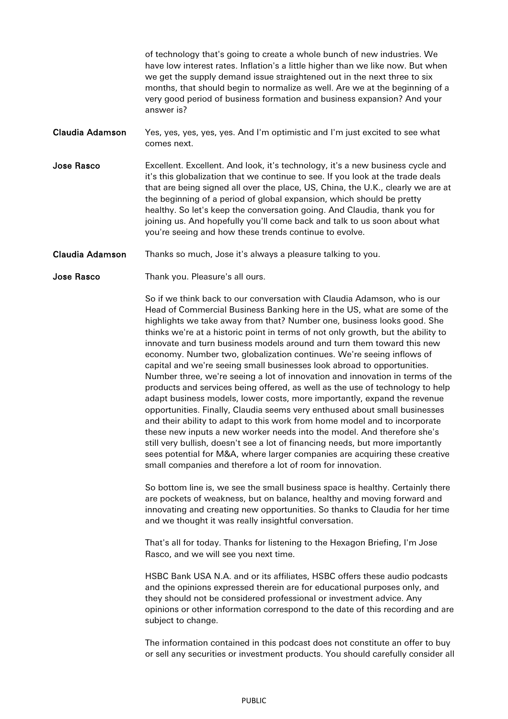of technology that's going to create a whole bunch of new industries. We have low interest rates. Inflation's a little higher than we like now. But when we get the supply demand issue straightened out in the next three to six months, that should begin to normalize as well. Are we at the beginning of a very good period of business formation and business expansion? And your answer is?

- Claudia Adamson Yes, yes, yes, yes, yes. And I'm optimistic and I'm just excited to see what comes next.
- **Jose Rasco** Excellent. Excellent. And look, it's technology, it's a new business cycle and it's this globalization that we continue to see. If you look at the trade deals that are being signed all over the place, US, China, the U.K., clearly we are at the beginning of a period of global expansion, which should be pretty healthy. So let's keep the conversation going. And Claudia, thank you for joining us. And hopefully you'll come back and talk to us soon about what you're seeing and how these trends continue to evolve.
- Claudia Adamson Thanks so much, Jose it's always a pleasure talking to you.
- Jose Rasco Thank you. Pleasure's all ours.

So if we think back to our conversation with Claudia Adamson, who is our Head of Commercial Business Banking here in the US, what are some of the highlights we take away from that? Number one, business looks good. She thinks we're at a historic point in terms of not only growth, but the ability to innovate and turn business models around and turn them toward this new economy. Number two, globalization continues. We're seeing inflows of capital and we're seeing small businesses look abroad to opportunities. Number three, we're seeing a lot of innovation and innovation in terms of the products and services being offered, as well as the use of technology to help adapt business models, lower costs, more importantly, expand the revenue opportunities. Finally, Claudia seems very enthused about small businesses and their ability to adapt to this work from home model and to incorporate these new inputs a new worker needs into the model. And therefore she's still very bullish, doesn't see a lot of financing needs, but more importantly sees potential for M&A, where larger companies are acquiring these creative small companies and therefore a lot of room for innovation.

So bottom line is, we see the small business space is healthy. Certainly there are pockets of weakness, but on balance, healthy and moving forward and innovating and creating new opportunities. So thanks to Claudia for her time and we thought it was really insightful conversation.

That's all for today. Thanks for listening to the Hexagon Briefing, I'm Jose Rasco, and we will see you next time.

HSBC Bank USA N.A. and or its affiliates, HSBC offers these audio podcasts and the opinions expressed therein are for educational purposes only, and they should not be considered professional or investment advice. Any opinions or other information correspond to the date of this recording and are subject to change.

The information contained in this podcast does not constitute an offer to buy or sell any securities or investment products. You should carefully consider all